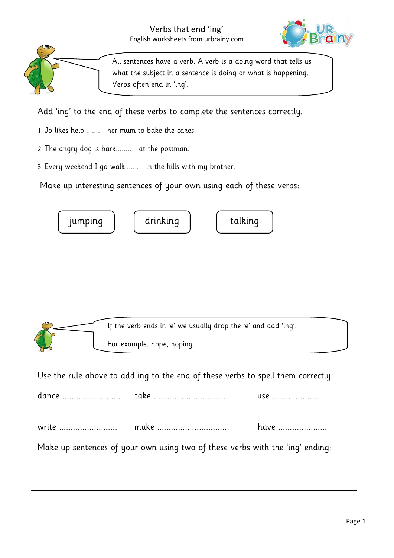## Verbs that end 'ing' English worksheets from urbrainy.com



All sentences have a verb. A verb is a doing word that tells us what the subject in a sentence is doing or what is happening. Verbs often end in 'ing'.

Add 'ing' to the end of these verbs to complete the sentences correctly.

- 1. Jo likes help........ her mum to bake the cakes.
- 2. The angry dog is bark........ at the postman.
- 3. Every weekend I go walk....... in the hills with my brother.

Make up interesting sentences of your own using each of these verbs:

| drinking<br>talking<br>jumping                                                               |
|----------------------------------------------------------------------------------------------|
|                                                                                              |
|                                                                                              |
|                                                                                              |
| If the verb ends in 'e' we usually drop the 'e' and add 'ing'.<br>For example: hope; hoping. |
| Use the rule above to add ing to the end of these verbs to spell them correctly.             |
| take<br>dance<br>use                                                                         |
| write<br>make<br>have                                                                        |
| Make up sentences of your own using two of these verbs with the 'ing' ending:                |
|                                                                                              |
|                                                                                              |